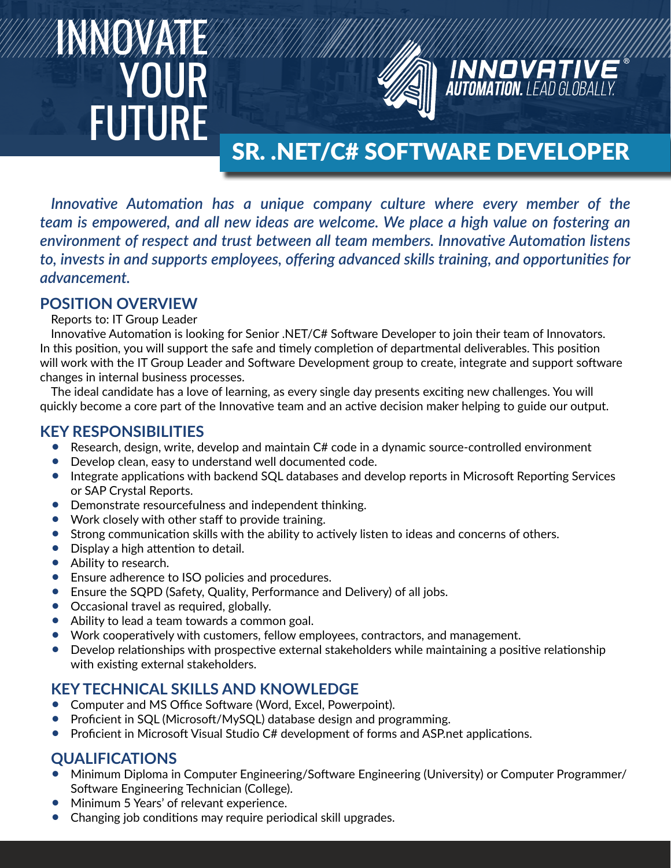# INNOVATE **YOUR** FUTURE



# SR. .NET/C# SOFTWARE DEVELOPER

**INNOVATIV**<br>**AUTOMATION.** LEAD GLOBAL

*Innovative Automation has a unique company culture where every member of the team is empowered, and all new ideas are welcome. We place a high value on fostering an environment of respect and trust between all team members. Innovative Automation listens to, invests in and supports employees, offering advanced skills training, and opportunities for advancement.*

#### **POSITION OVERVIEW**

Reports to: IT Group Leader

Innovative Automation is looking for Senior .NET/C# Software Developer to join their team of Innovators. In this position, you will support the safe and timely completion of departmental deliverables. This position will work with the IT Group Leader and Software Development group to create, integrate and support software changes in internal business processes.

The ideal candidate has a love of learning, as every single day presents exciting new challenges. You will quickly become a core part of the Innovative team and an active decision maker helping to guide our output.

#### **KEY RESPONSIBILITIES**

- Research, design, write, develop and maintain C# code in a dynamic source-controlled environment
- Develop clean, easy to understand well documented code.
- Integrate applications with backend SQL databases and develop reports in Microsoft Reporting Services or SAP Crystal Reports.
- Demonstrate resourcefulness and independent thinking.
- Work closely with other staff to provide training.
- Strong communication skills with the ability to actively listen to ideas and concerns of others.
- Display a high attention to detail.
- Ability to research.
- Ensure adherence to ISO policies and procedures.
- Ensure the SQPD (Safety, Quality, Performance and Delivery) of all jobs.
- Occasional travel as required, globally.
- Ability to lead a team towards a common goal.
- Work cooperatively with customers, fellow employees, contractors, and management.
- Develop relationships with prospective external stakeholders while maintaining a positive relationship with existing external stakeholders.

# **KEY TECHNICAL SKILLS AND KNOWLEDGE**

- Computer and MS Office Software (Word, Excel, Powerpoint).
- Proficient in SQL (Microsoft/MySQL) database design and programming.
- Proficient in Microsoft Visual Studio C# development of forms and ASP.net applications.

# **QUALIFICATIONS**

- Minimum Diploma in Computer Engineering/Software Engineering (University) or Computer Programmer/ Software Engineering Technician (College).
- Minimum 5 Years' of relevant experience.
- Changing job conditions may require periodical skill upgrades.